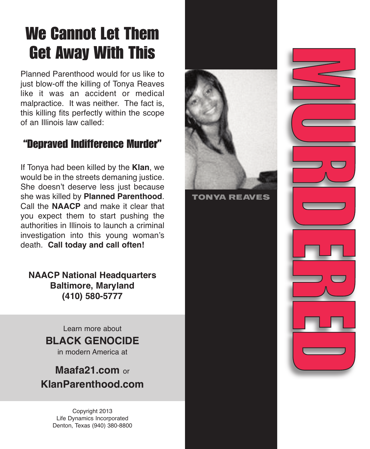# **We Cannot Let Them Get Away With This**

Planned Parenthood would for us like to just blow-off the killing of Tonya Reaves like it was an accident or medical malpractice. It was neither. The fact is, this killing fits perfectly within the scope of an Illinois law called:

### **"Depraved Indifference Murder"**

If Tonya had been killed by the **Klan**, we would be in the streets demaning justice. She doesn't deserve less just because she was killed by **Planned Parenthood**. Call the **NAACP** and make it clear that you expect them to start pushing the authorities in Illinois to launch a criminal investigation into this young woman's death. **Call today and call often!**

**NAACP National Headquarters Baltimore, Maryland (410) 580-5777**

Learn more about

#### **BLACK GENOCIDE**

in modern America at

**Maafa21.com** or **KlanParenthood.com**

> Copyright 2013 Life Dynamics Incorporated Denton, Texas (940) 380-8800